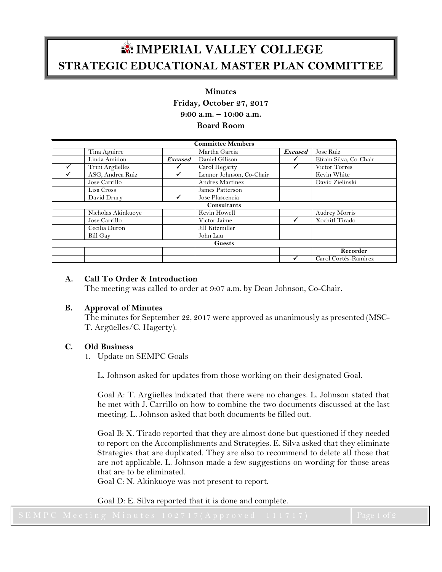# **IMPERIAL VALLEY COLLEGE STRATEGIC EDUCATIONAL MASTER PLAN COMMITTEE**

#### **Minutes**

**Friday, October 27, 2017**

**9:00 a.m. – 10:00 a.m.**

**Board Room**

| <b>Committee Members</b> |                    |                |                          |                |                        |  |
|--------------------------|--------------------|----------------|--------------------------|----------------|------------------------|--|
|                          | Tina Aguirre       |                | Martha Garcia            | <b>Excused</b> | Jose Ruiz              |  |
|                          | Linda Amidon       | <b>Excused</b> | Daniel Gilison           |                | Efrain Silva, Co-Chair |  |
|                          | Trini Argüelles    |                | Carol Hegarty            |                | Victor Torres          |  |
|                          | ASG, Andrea Ruiz   |                | Lennor Johnson, Co-Chair |                | Kevin White            |  |
|                          | Jose Carrillo      |                | Andres Martinez          |                | David Zielinski        |  |
|                          | Lisa Cross         |                | James Patterson          |                |                        |  |
|                          | David Drury        |                | Jose Plascencia          |                |                        |  |
| Consultants              |                    |                |                          |                |                        |  |
|                          | Nicholas Akinkuoye |                | Kevin Howell             |                | <b>Audrey Morris</b>   |  |
|                          | Jose Carrillo      |                | Victor Jaime             |                | Xochitl Tirado         |  |
|                          | Cecilia Duron      |                | Jill Kitzmiller          |                |                        |  |
|                          | Bill Gay           |                | John Lau                 |                |                        |  |
| <b>Guests</b>            |                    |                |                          |                |                        |  |
|                          |                    |                |                          |                | Recorder               |  |
|                          |                    |                |                          |                | Carol Cortés-Ramirez   |  |

## **A. Call To Order & Introduction**

The meeting was called to order at 9:07 a.m. by Dean Johnson, Co-Chair.

## **B. Approval of Minutes**

The minutes for September 22, 2017 were approved as unanimously as presented (MSC-T. Argüelles/C. Hagerty).

## **C. Old Business**

1. Update on SEMPC Goals

L. Johnson asked for updates from those working on their designated Goal.

Goal A: T. Argüelles indicated that there were no changes. L. Johnson stated that he met with J. Carrillo on how to combine the two documents discussed at the last meeting. L. Johnson asked that both documents be filled out.

Goal B: X. Tirado reported that they are almost done but questioned if they needed to report on the Accomplishments and Strategies. E. Silva asked that they eliminate Strategies that are duplicated. They are also to recommend to delete all those that are not applicable. L. Johnson made a few suggestions on wording for those areas that are to be eliminated.

Goal C: N. Akinkuoye was not present to report.

Goal D: E. Silva reported that it is done and complete.

| $\sim$ Little in count minutes in $\sim$ 10 $\mu$ in the set of the set of the set of the set of $\sim$ | $\sim$ $\sim$ $ \sim$ $ \sim$ $\sim$<br>laatina Alimania aan meessa ka |  |
|---------------------------------------------------------------------------------------------------------|------------------------------------------------------------------------|--|
|                                                                                                         |                                                                        |  |